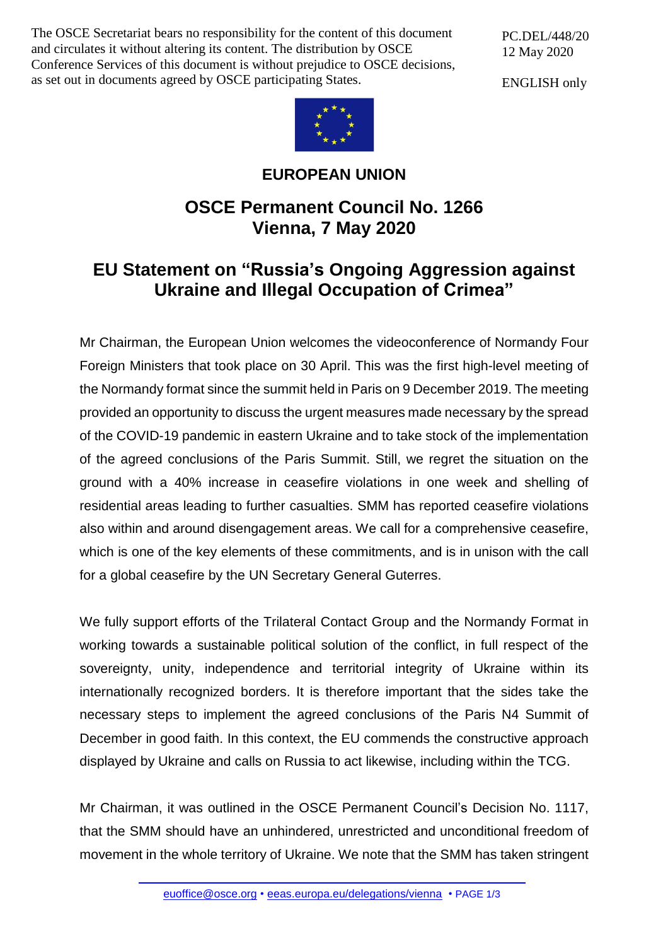The OSCE Secretariat bears no responsibility for the content of this document and circulates it without altering its content. The distribution by OSCE Conference Services of this document is without prejudice to OSCE decisions, as set out in documents agreed by OSCE participating States.

PC.DEL/448/20 12 May 2020

ENGLISH only



**EUROPEAN UNION**

## **OSCE Permanent Council No. 1266 Vienna, 7 May 2020**

## **EU Statement on "Russia's Ongoing Aggression against Ukraine and Illegal Occupation of Crimea"**

Mr Chairman, the European Union welcomes the videoconference of Normandy Four Foreign Ministers that took place on 30 April. This was the first high-level meeting of the Normandy format since the summit held in Paris on 9 December 2019. The meeting provided an opportunity to discuss the urgent measures made necessary by the spread of the COVID-19 pandemic in eastern Ukraine and to take stock of the implementation of the agreed conclusions of the Paris Summit. Still, we regret the situation on the ground with a 40% increase in ceasefire violations in one week and shelling of residential areas leading to further casualties. SMM has reported ceasefire violations also within and around disengagement areas. We call for a comprehensive ceasefire, which is one of the key elements of these commitments, and is in unison with the call for a global ceasefire by the UN Secretary General Guterres.

We fully support efforts of the Trilateral Contact Group and the Normandy Format in working towards a sustainable political solution of the conflict, in full respect of the sovereignty, unity, independence and territorial integrity of Ukraine within its internationally recognized borders. It is therefore important that the sides take the necessary steps to implement the agreed conclusions of the Paris N4 Summit of December in good faith. In this context, the EU commends the constructive approach displayed by Ukraine and calls on Russia to act likewise, including within the TCG.

Mr Chairman, it was outlined in the OSCE Permanent Council's Decision No. 1117, that the SMM should have an unhindered, unrestricted and unconditional freedom of movement in the whole territory of Ukraine. We note that the SMM has taken stringent

[euoffice@osce.org](mailto:euoffice@osce.org) • [eeas.europa.eu/delegations/vienna](http://eeas.europa.eu/delegations/vienna) • PAGE 1/3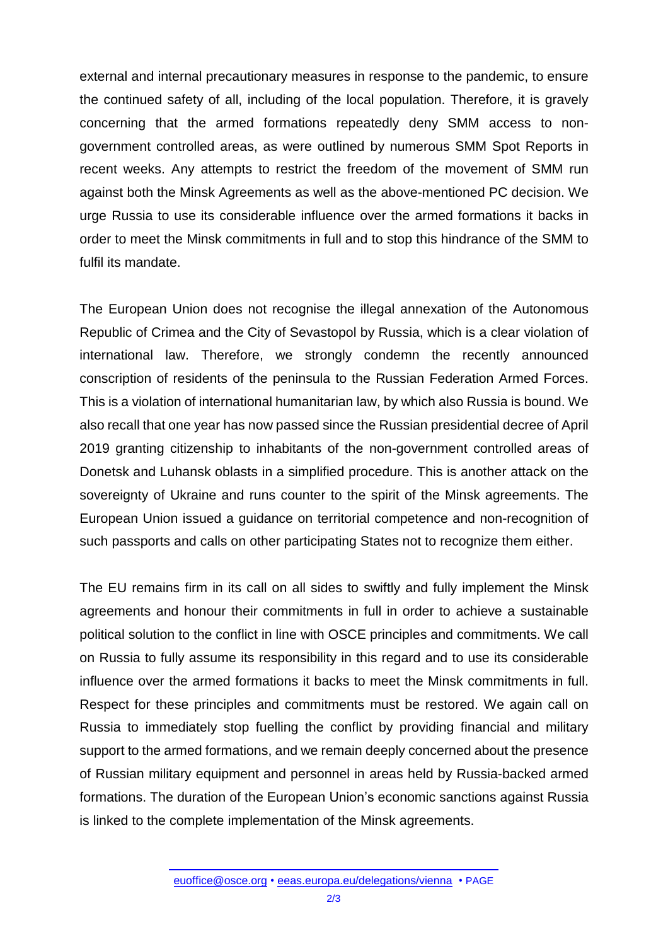external and internal precautionary measures in response to the pandemic, to ensure the continued safety of all, including of the local population. Therefore, it is gravely concerning that the armed formations repeatedly deny SMM access to nongovernment controlled areas, as were outlined by numerous SMM Spot Reports in recent weeks. Any attempts to restrict the freedom of the movement of SMM run against both the Minsk Agreements as well as the above-mentioned PC decision. We urge Russia to use its considerable influence over the armed formations it backs in order to meet the Minsk commitments in full and to stop this hindrance of the SMM to fulfil its mandate.

The European Union does not recognise the illegal annexation of the Autonomous Republic of Crimea and the City of Sevastopol by Russia, which is a clear violation of international law. Therefore, we strongly condemn the recently announced conscription of residents of the peninsula to the Russian Federation Armed Forces. This is a violation of international humanitarian law, by which also Russia is bound. We also recall that one year has now passed since the Russian presidential decree of April 2019 granting citizenship to inhabitants of the non-government controlled areas of Donetsk and Luhansk oblasts in a simplified procedure. This is another attack on the sovereignty of Ukraine and runs counter to the spirit of the Minsk agreements. The European Union issued a guidance on territorial competence and non-recognition of such passports and calls on other participating States not to recognize them either.

The EU remains firm in its call on all sides to swiftly and fully implement the Minsk agreements and honour their commitments in full in order to achieve a sustainable political solution to the conflict in line with OSCE principles and commitments. We call on Russia to fully assume its responsibility in this regard and to use its considerable influence over the armed formations it backs to meet the Minsk commitments in full. Respect for these principles and commitments must be restored. We again call on Russia to immediately stop fuelling the conflict by providing financial and military support to the armed formations, and we remain deeply concerned about the presence of Russian military equipment and personnel in areas held by Russia-backed armed formations. The duration of the European Union's economic sanctions against Russia is linked to the complete implementation of the Minsk agreements.